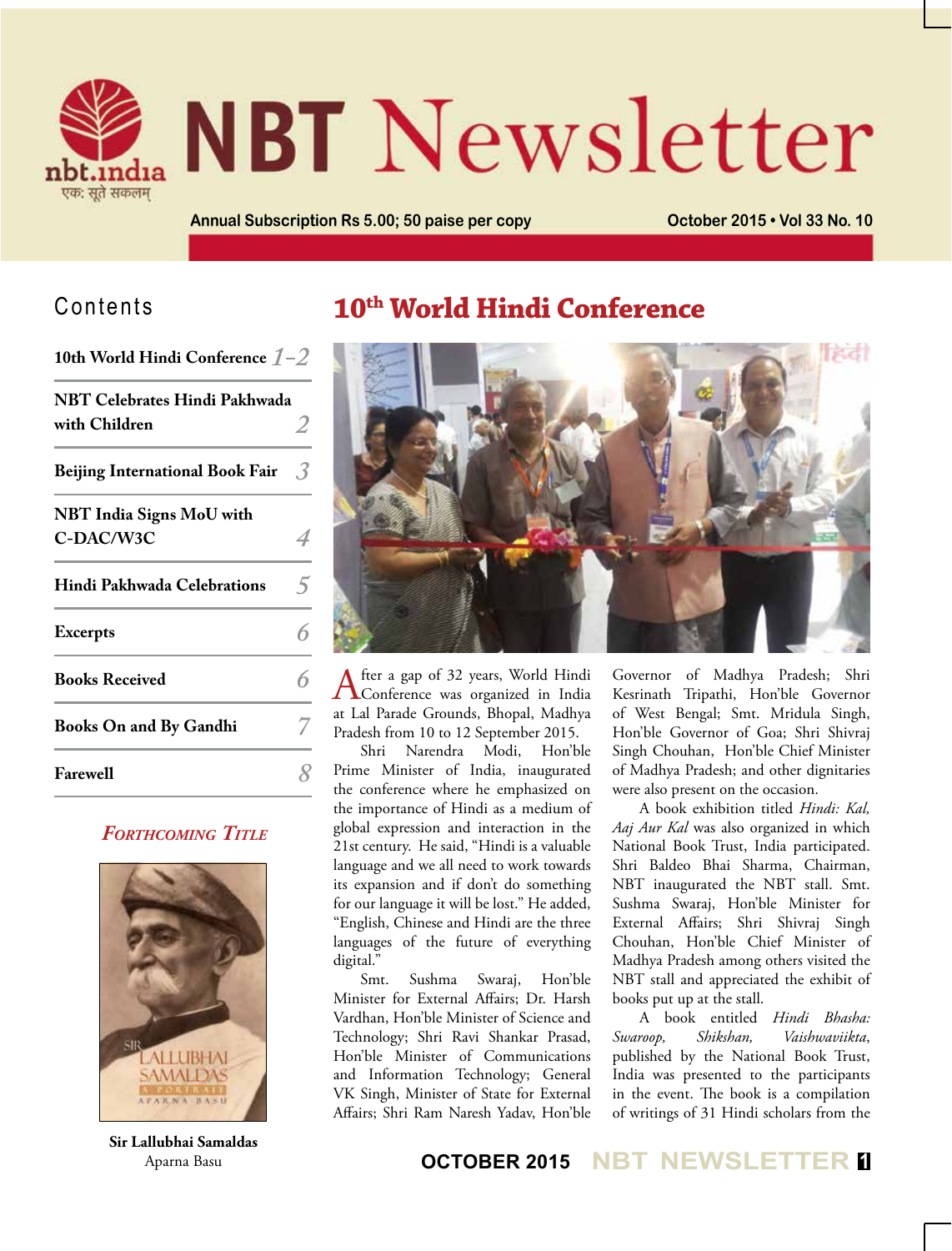

# **NBT** Newsletter

**Annual Subscription Rs 5.00; 50 paise per copy <b>Connect Connect 2015 • Vol 33 No. 10** 

## Contents

| 10th World Hindi Conference $1-2$              |   |
|------------------------------------------------|---|
| NBT Celebrates Hindi Pakhwada<br>with Children |   |
| <b>Beijing International Book Fair</b>         | 3 |
| <b>NBT</b> India Signs MoU with<br>C-DAC/W3C   |   |
| Hindi Pakhwada Celebrations                    | ↹ |
| <b>Excerpts</b>                                |   |
| <b>Books Received</b>                          |   |
| <b>Books On and By Gandhi</b>                  |   |
| <b>Farewell</b>                                |   |

#### *Forthcoming Title*



**Sir Lallubhai Samaldas**  Aparna Basu

## **10th World Hindi Conference**



After a gap of 32 years, World Hindi<br>Conference was organized in India at Lal Parade Grounds, Bhopal, Madhya Pradesh from 10 to 12 September 2015.

Shri Narendra Modi, Hon'ble Prime Minister of India, inaugurated the conference where he emphasized on the importance of Hindi as a medium of global expression and interaction in the 21st century. He said, "Hindi is a valuable language and we all need to work towards its expansion and if don't do something for our language it will be lost." He added, "English, Chinese and Hindi are the three languages of the future of everything digital."

Smt. Sushma Swaraj, Hon'ble Minister for External Affairs; Dr. Harsh Vardhan, Hon'ble Minister of Science and Technology; Shri Ravi Shankar Prasad, Hon'ble Minister of Communications and Information Technology; General VK Singh, Minister of State for External Affairs; Shri Ram Naresh Yadav, Hon'ble

Governor of Madhya Pradesh; Shri Kesrinath Tripathi, Hon'ble Governor of West Bengal; Smt. Mridula Singh, Hon'ble Governor of Goa; Shri Shivraj Singh Chouhan, Hon'ble Chief Minister of Madhya Pradesh; and other dignitaries were also present on the occasion.

A book exhibition titled *Hindi: Kal, Aaj Aur Kal* was also organized in which National Book Trust, India participated. Shri Baldeo Bhai Sharma, Chairman, NBT inaugurated the NBT stall. Smt. Sushma Swaraj, Hon'ble Minister for External Affairs; Shri Shivraj Singh Chouhan, Hon'ble Chief Minister of Madhya Pradesh among others visited the NBT stall and appreciated the exhibit of books put up at the stall.

A book entitled *Hindi Bhasha: Swaroop, Shikshan, Vaishwaviikta*, published by the National Book Trust, India was presented to the participants in the event. The book is a compilation of writings of 31 Hindi scholars from the

### **OCTOBER 2015 NBT NEWSLETTER <sup>1</sup>**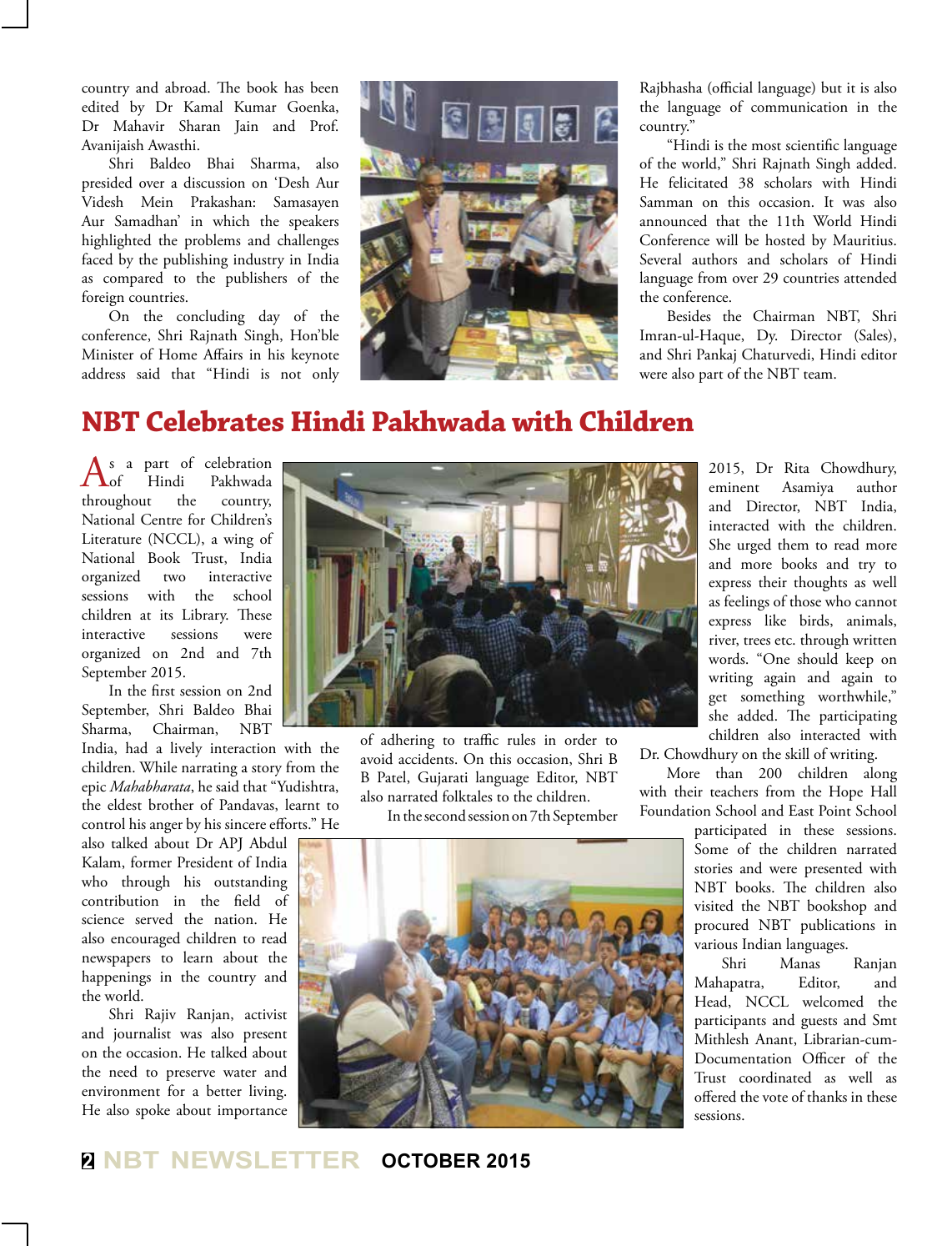country and abroad. The book has been edited by Dr Kamal Kumar Goenka, Dr Mahavir Sharan Jain and Prof. Avanijaish Awasthi.

Shri Baldeo Bhai Sharma, also presided over a discussion on 'Desh Aur Videsh Mein Prakashan: Samasayen Aur Samadhan' in which the speakers highlighted the problems and challenges faced by the publishing industry in India as compared to the publishers of the foreign countries.

On the concluding day of the conference, Shri Rajnath Singh, Hon'ble Minister of Home Affairs in his keynote address said that "Hindi is not only



Rajbhasha (official language) but it is also the language of communication in the country."

"Hindi is the most scientific language of the world," Shri Rajnath Singh added. He felicitated 38 scholars with Hindi Samman on this occasion. It was also announced that the 11th World Hindi Conference will be hosted by Mauritius. Several authors and scholars of Hindi language from over 29 countries attended the conference.

Besides the Chairman NBT, Shri Imran-ul-Haque, Dy. Director (Sales), and Shri Pankaj Chaturvedi, Hindi editor were also part of the NBT team.

## **NBT Celebrates Hindi Pakhwada with Children**

As a part of celebration<br>
Hindi Pakhwada throughout the country, National Centre for Children's Literature (NCCL), a wing of National Book Trust, India organized two interactive sessions with the school children at its Library. These interactive sessions were organized on 2nd and 7th September 2015.

In the first session on 2nd September, Shri Baldeo Bhai Sharma, Chairman, NBT

India, had a lively interaction with the children. While narrating a story from the epic *Mahabharata*, he said that "Yudishtra, the eldest brother of Pandavas, learnt to control his anger by his sincere efforts." He

also talked about Dr APJ Abdul Kalam, former President of India who through his outstanding contribution in the field of science served the nation. He also encouraged children to read newspapers to learn about the happenings in the country and the world.

Shri Rajiv Ranjan, activist and journalist was also present on the occasion. He talked about the need to preserve water and environment for a better living. He also spoke about importance



of adhering to traffic rules in order to avoid accidents. On this occasion, Shri B B Patel, Gujarati language Editor, NBT also narrated folktales to the children.

In the second session on 7th September



2015, Dr Rita Chowdhury, eminent Asamiya author and Director, NBT India, interacted with the children. She urged them to read more and more books and try to express their thoughts as well as feelings of those who cannot express like birds, animals, river, trees etc. through written words. "One should keep on writing again and again to get something worthwhile," she added. The participating children also interacted with

Dr. Chowdhury on the skill of writing.

More than 200 children along with their teachers from the Hope Hall Foundation School and East Point School

> participated in these sessions. Some of the children narrated stories and were presented with NBT books. The children also visited the NBT bookshop and procured NBT publications in various Indian languages.

> Shri Manas Ranjan Mahapatra, Editor, and Head, NCCL welcomed the participants and guests and Smt Mithlesh Anant, Librarian-cum-Documentation Officer of the Trust coordinated as well as offered the vote of thanks in these sessions.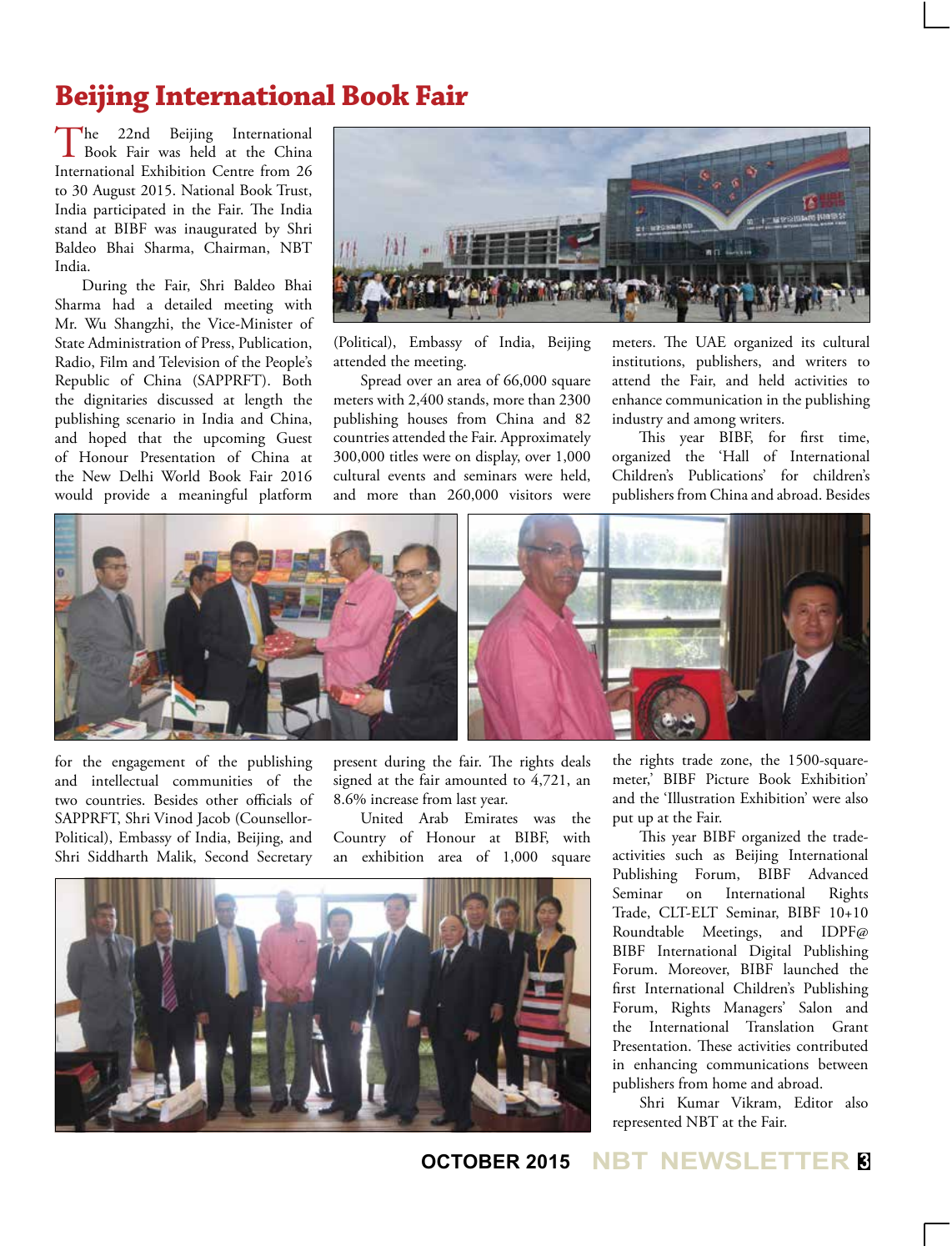## **Beijing International Book Fair**

The 22nd Beijing International<br>Book Fair was held at the China International Exhibition Centre from 26 to 30 August 2015. National Book Trust, India participated in the Fair. The India stand at BIBF was inaugurated by Shri Baldeo Bhai Sharma, Chairman, NBT India.

During the Fair, Shri Baldeo Bhai Sharma had a detailed meeting with Mr. Wu Shangzhi, the Vice-Minister of State Administration of Press, Publication, Radio, Film and Television of the People's Republic of China (SAPPRFT). Both the dignitaries discussed at length the publishing scenario in India and China, and hoped that the upcoming Guest of Honour Presentation of China at the New Delhi World Book Fair 2016 would provide a meaningful platform



(Political), Embassy of India, Beijing attended the meeting.

Spread over an area of 66,000 square meters with 2,400 stands, more than 2300 publishing houses from China and 82 countries attended the Fair. Approximately 300,000 titles were on display, over 1,000 cultural events and seminars were held, and more than 260,000 visitors were meters. The UAE organized its cultural institutions, publishers, and writers to attend the Fair, and held activities to enhance communication in the publishing industry and among writers.

This year BIBF, for first time, organized the 'Hall of International Children's Publications' for children's publishers from China and abroad. Besides



for the engagement of the publishing and intellectual communities of the two countries. Besides other officials of SAPPRFT, Shri Vinod Jacob (Counsellor-Political), Embassy of India, Beijing, and Shri Siddharth Malik, Second Secretary

present during the fair. The rights deals signed at the fair amounted to 4,721, an 8.6% increase from last year.

United Arab Emirates was the Country of Honour at BIBF, with an exhibition area of 1,000 square



the rights trade zone, the 1500-squaremeter,' BIBF Picture Book Exhibition' and the 'Illustration Exhibition' were also put up at the Fair.

This year BIBF organized the tradeactivities such as Beijing International Publishing Forum, BIBF Advanced Seminar on International Rights Trade, CLT-ELT Seminar, BIBF 10+10 Roundtable Meetings, and IDPF@ BIBF International Digital Publishing Forum. Moreover, BIBF launched the first International Children's Publishing Forum, Rights Managers' Salon and the International Translation Grant Presentation. These activities contributed in enhancing communications between publishers from home and abroad.

Shri Kumar Vikram, Editor also represented NBT at the Fair.

**OCTOBER 2015 NBT NEWSLETTER <sup>3</sup>**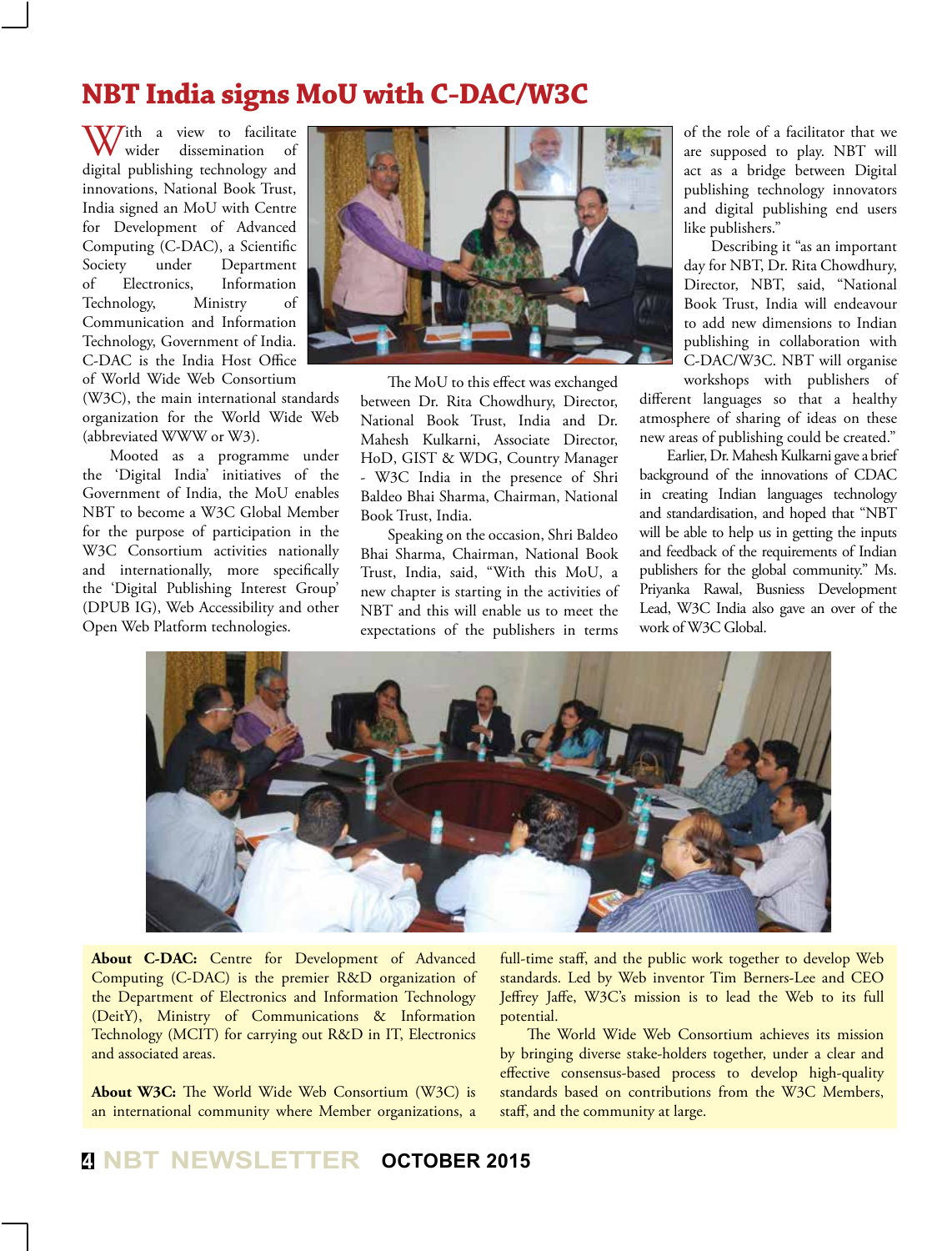## **NBT India signs MoU with C-DAC/W3C**

With a view to facilitate wider dissemination digital publishing technology and innovations, National Book Trust, India signed an MoU with Centre for Development of Advanced Computing (C-DAC), a Scientific Society under Department of Electronics, Information Technology, Ministry of Communication and Information Technology, Government of India. C-DAC is the India Host Office of World Wide Web Consortium

(W3C), the main international standards organization for the World Wide Web (abbreviated WWW or W3).

Mooted as a programme under the 'Digital India' initiatives of the Government of India, the MoU enables NBT to become a W3C Global Member for the purpose of participation in the W3C Consortium activities nationally and internationally, more specifically the 'Digital Publishing Interest Group' (DPUB IG), Web Accessibility and other Open Web Platform technologies.



The MoU to this effect was exchanged between Dr. Rita Chowdhury, Director, National Book Trust, India and Dr. Mahesh Kulkarni, Associate Director, HoD, GIST & WDG, Country Manager - W3C India in the presence of Shri Baldeo Bhai Sharma, Chairman, National Book Trust, India.

Speaking on the occasion, Shri Baldeo Bhai Sharma, Chairman, National Book Trust, India, said, "With this MoU, a new chapter is starting in the activities of NBT and this will enable us to meet the expectations of the publishers in terms

of the role of a facilitator that we are supposed to play. NBT will act as a bridge between Digital publishing technology innovators and digital publishing end users like publishers."

Describing it "as an important day for NBT, Dr. Rita Chowdhury, Director, NBT, said, "National Book Trust, India will endeavour to add new dimensions to Indian publishing in collaboration with C-DAC/W3C. NBT will organise workshops with publishers of

different languages so that a healthy atmosphere of sharing of ideas on these new areas of publishing could be created."

Earlier, Dr. Mahesh Kulkarni gave a brief background of the innovations of CDAC in creating Indian languages technology and standardisation, and hoped that "NBT will be able to help us in getting the inputs and feedback of the requirements of Indian publishers for the global community." Ms. Priyanka Rawal, Busniess Development Lead, W3C India also gave an over of the work of W3C Global.



**About C-DAC:** Centre for Development of Advanced Computing (C-DAC) is the premier R&D organization of the Department of Electronics and Information Technology (DeitY), Ministry of Communications & Information Technology (MCIT) for carrying out R&D in IT, Electronics and associated areas.

**About W3C:** The World Wide Web Consortium (W3C) is an international community where Member organizations, a

full-time staff, and the public work together to develop Web standards. Led by Web inventor Tim Berners-Lee and CEO Jeffrey Jaffe, W3C's mission is to lead the Web to its full potential.

The World Wide Web Consortium achieves its mission by bringing diverse stake-holders together, under a clear and effective consensus-based process to develop high-quality standards based on contributions from the W3C Members, staff, and the community at large.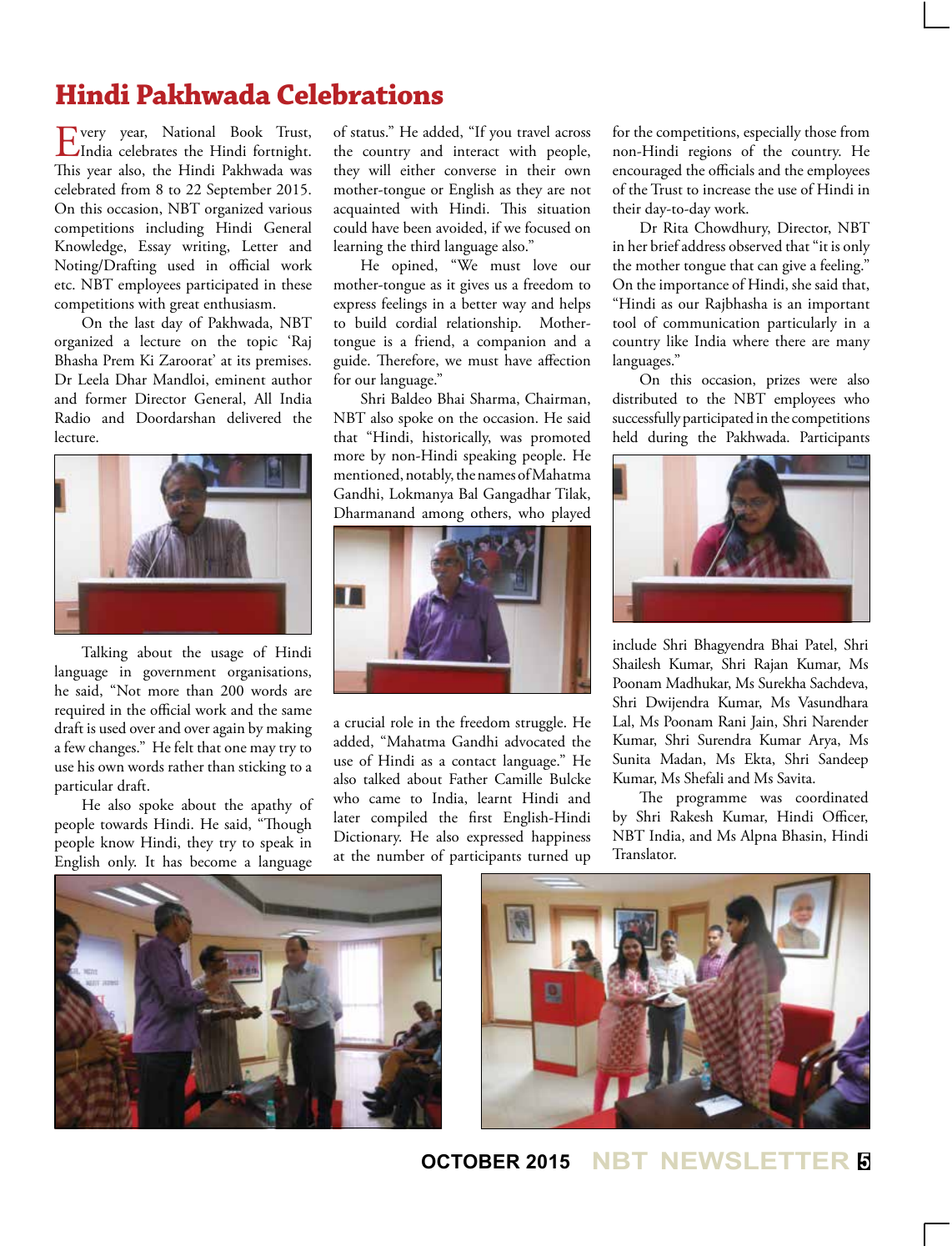## **Hindi Pakhwada Celebrations**

Every year, National Book Trust, India celebrates the Hindi fortnight. This year also, the Hindi Pakhwada was celebrated from 8 to 22 September 2015. On this occasion, NBT organized various competitions including Hindi General Knowledge, Essay writing, Letter and Noting/Drafting used in official work etc. NBT employees participated in these competitions with great enthusiasm.

On the last day of Pakhwada, NBT organized a lecture on the topic 'Raj Bhasha Prem Ki Zaroorat' at its premises. Dr Leela Dhar Mandloi, eminent author and former Director General, All India Radio and Doordarshan delivered the lecture.



Talking about the usage of Hindi language in government organisations, he said, "Not more than 200 words are required in the official work and the same draft is used over and over again by making a few changes." He felt that one may try to use his own words rather than sticking to a particular draft.

He also spoke about the apathy of people towards Hindi. He said, "Though people know Hindi, they try to speak in English only. It has become a language of status." He added, "If you travel across the country and interact with people, they will either converse in their own mother-tongue or English as they are not acquainted with Hindi. This situation could have been avoided, if we focused on learning the third language also."

He opined, "We must love our mother-tongue as it gives us a freedom to express feelings in a better way and helps to build cordial relationship. Mothertongue is a friend, a companion and a guide. Therefore, we must have affection for our language."

Shri Baldeo Bhai Sharma, Chairman, NBT also spoke on the occasion. He said that "Hindi, historically, was promoted more by non-Hindi speaking people. He mentioned, notably, the names of Mahatma Gandhi, Lokmanya Bal Gangadhar Tilak, Dharmanand among others, who played



a crucial role in the freedom struggle. He added, "Mahatma Gandhi advocated the use of Hindi as a contact language." He also talked about Father Camille Bulcke who came to India, learnt Hindi and later compiled the first English-Hindi Dictionary. He also expressed happiness at the number of participants turned up

for the competitions, especially those from non-Hindi regions of the country. He encouraged the officials and the employees of the Trust to increase the use of Hindi in their day-to-day work.

Dr Rita Chowdhury, Director, NBT in her brief address observed that "it is only the mother tongue that can give a feeling." On the importance of Hindi, she said that, "Hindi as our Rajbhasha is an important tool of communication particularly in a country like India where there are many languages."

On this occasion, prizes were also distributed to the NBT employees who successfully participated in the competitions held during the Pakhwada. Participants



include Shri Bhagyendra Bhai Patel, Shri Shailesh Kumar, Shri Rajan Kumar, Ms Poonam Madhukar, Ms Surekha Sachdeva, Shri Dwijendra Kumar, Ms Vasundhara Lal, Ms Poonam Rani Jain, Shri Narender Kumar, Shri Surendra Kumar Arya, Ms Sunita Madan, Ms Ekta, Shri Sandeep Kumar, Ms Shefali and Ms Savita.

The programme was coordinated by Shri Rakesh Kumar, Hindi Officer, NBT India, and Ms Alpna Bhasin, Hindi Translator.





**OCTOBER 2015 NBT NEWSLETTER <sup>5</sup>**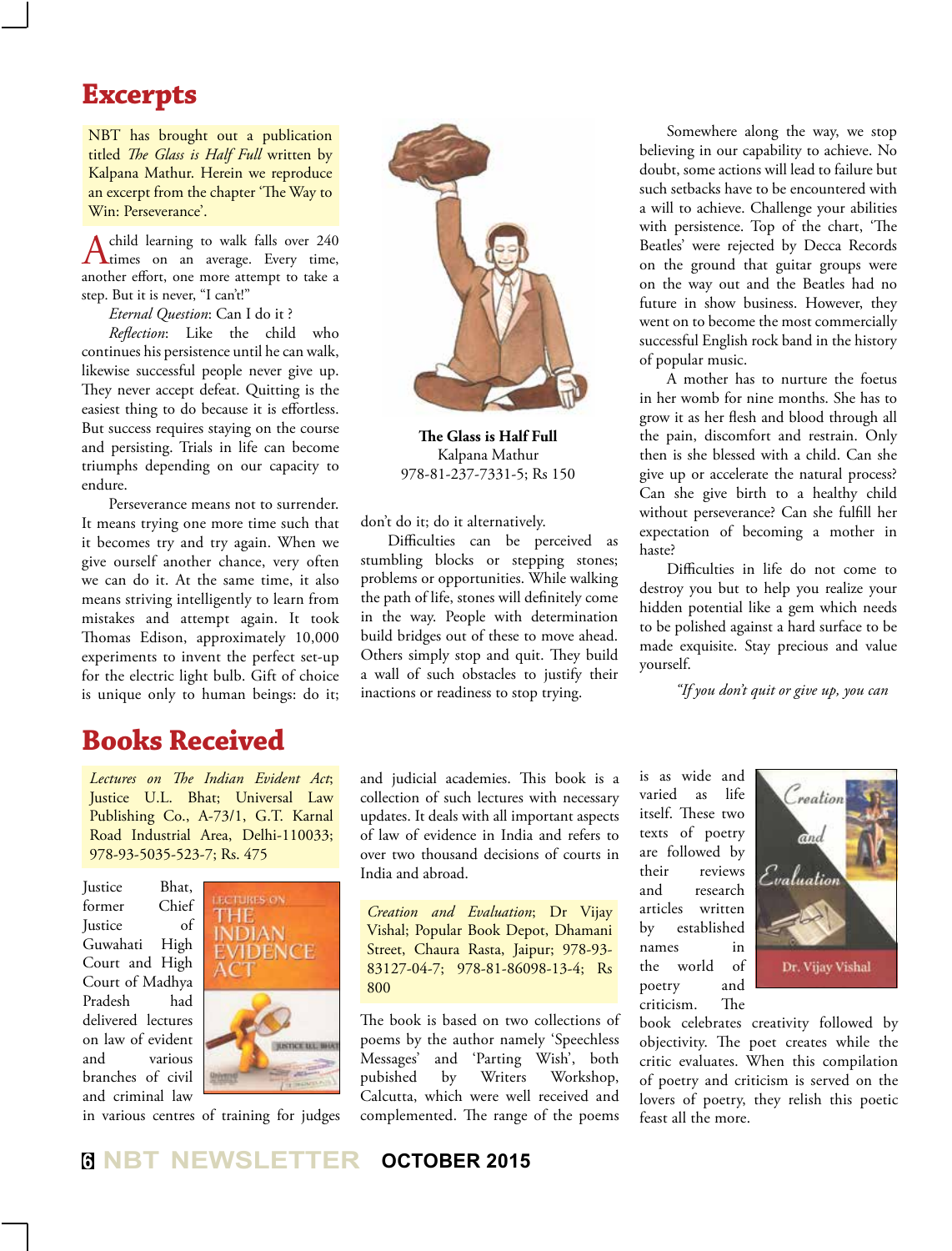## **Excerpts**

NBT has brought out a publication titled *The Glass is Half Full* written by Kalpana Mathur. Herein we reproduce an excerpt from the chapter 'The Way to Win: Perseverance'.

A child learning to walk falls over 240 times on an average. Every time, another effort, one more attempt to take a step. But it is never, "I can't!"

*Eternal Question*: Can I do it ?

*Reflection*: Like the child who continues his persistence until he can walk, likewise successful people never give up. They never accept defeat. Quitting is the easiest thing to do because it is effortless. But success requires staying on the course and persisting. Trials in life can become triumphs depending on our capacity to endure.

Perseverance means not to surrender. It means trying one more time such that it becomes try and try again. When we give ourself another chance, very often we can do it. At the same time, it also means striving intelligently to learn from mistakes and attempt again. It took Thomas Edison, approximately 10,000 experiments to invent the perfect set-up for the electric light bulb. Gift of choice is unique only to human beings: do it;

## **Books Received**

*Lectures on The Indian Evident Act*; Justice U.L. Bhat; Universal Law Publishing Co., A-73/1, G.T. Karnal Road Industrial Area, Delhi-110033; 978-93-5035-523-7; Rs. 475

Justice Bhat, former Chief Justice of Guwahati High Court and High Court of Madhya Pradesh had delivered lectures on law of evident and various branches of civil and criminal law



in various centres of training for judges



**The Glass is Half Full**  Kalpana Mathur 978-81-237-7331-5; Rs 150

don't do it; do it alternatively.

Difficulties can be perceived as stumbling blocks or stepping stones; problems or opportunities. While walking the path of life, stones will definitely come in the way. People with determination build bridges out of these to move ahead. Others simply stop and quit. They build a wall of such obstacles to justify their inactions or readiness to stop trying.

Somewhere along the way, we stop believing in our capability to achieve. No doubt, some actions will lead to failure but such setbacks have to be encountered with a will to achieve. Challenge your abilities with persistence. Top of the chart, 'The Beatles' were rejected by Decca Records on the ground that guitar groups were on the way out and the Beatles had no future in show business. However, they went on to become the most commercially successful English rock band in the history of popular music.

A mother has to nurture the foetus in her womb for nine months. She has to grow it as her flesh and blood through all the pain, discomfort and restrain. Only then is she blessed with a child. Can she give up or accelerate the natural process? Can she give birth to a healthy child without perseverance? Can she fulfill her expectation of becoming a mother in haste?

Difficulties in life do not come to destroy you but to help you realize your hidden potential like a gem which needs to be polished against a hard surface to be made exquisite. Stay precious and value yourself.

*"If you don't quit or give up, you can* 

and judicial academies. This book is a collection of such lectures with necessary updates. It deals with all important aspects of law of evidence in India and refers to over two thousand decisions of courts in India and abroad.

*Creation and Evaluation*; Dr Vijay Vishal; Popular Book Depot, Dhamani Street, Chaura Rasta, Jaipur; 978-93- 83127-04-7; 978-81-86098-13-4; Rs 800

The book is based on two collections of poems by the author namely 'Speechless Messages' and 'Parting Wish', both pubished by Writers Workshop, Calcutta, which were well received and complemented. The range of the poems

is as wide and varied as life itself. These two texts of poetry are followed by their reviews and research articles written by established names in the world of poetry and criticism. The



book celebrates creativity followed by objectivity. The poet creates while the critic evaluates. When this compilation of poetry and criticism is served on the lovers of poetry, they relish this poetic feast all the more.

## **<sup>6</sup> NBT NEWSLETTER OCTOBER 2015**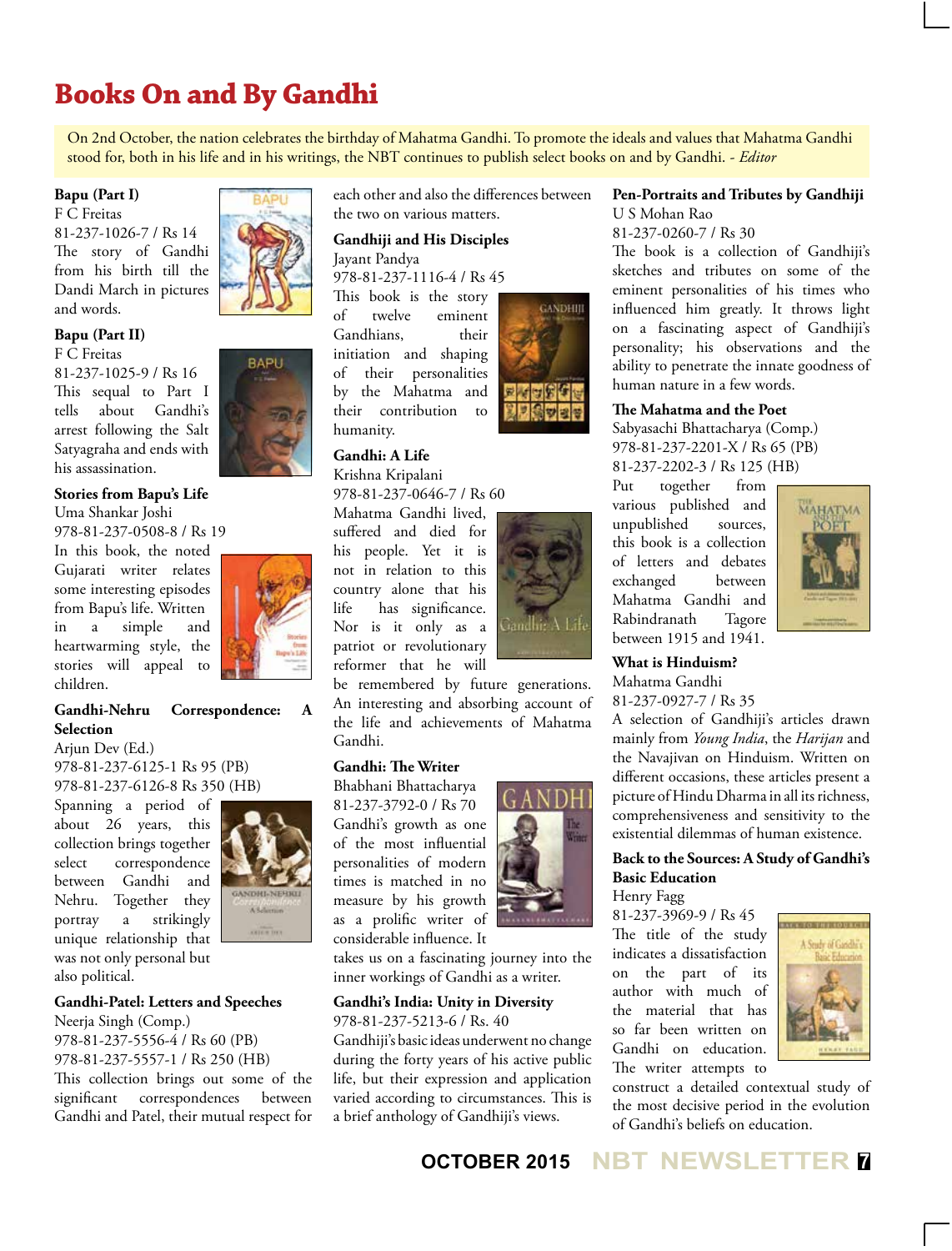## **Books On and By Gandhi**

On 2nd October, the nation celebrates the birthday of Mahatma Gandhi. To promote the ideals and values that Mahatma Gandhi stood for, both in his life and in his writings, the NBT continues to publish select books on and by Gandhi. - *Editor*

#### **Bapu (Part I)**

F C Freitas 81-237-1026-7 / Rs 14 The story of Gandhi from his birth till the Dandi March in pictures and words.

## **Bapu (Part II)**

F C Freitas 81-237-1025-9 / Rs 16 This sequal to Part I tells about Gandhi's arrest following the Salt Satyagraha and ends with his assassination.



#### **Stories from Bapu's Life** Uma Shankar Joshi

978-81-237-0508-8 / Rs 19

In this book, the noted Gujarati writer relates some interesting episodes from Bapu's life. Written in a simple and heartwarming style, the stories will appeal to children.



#### **Gandhi-Nehru Correspondence: A Selection**

Arjun Dev (Ed.) 978-81-237-6125-1 Rs 95 (PB) 978-81-237-6126-8 Rs 350 (HB)

Spanning a period of about 26 years, this collection brings together select correspondence between Gandhi and Nehru. Together they portray a strikingly unique relationship that was not only personal but also political.



#### **Gandhi-Patel: Letters and Speeches**

Neerja Singh (Comp.) 978-81-237-5556-4 / Rs 60 (PB) 978-81-237-5557-1 / Rs 250 (HB) This collection brings out some of the significant correspondences between Gandhi and Patel, their mutual respect for each other and also the differences between the two on various matters.

#### **Gandhiji and His Disciples** Jayant Pandya

978-81-237-1116-4 / Rs 45

This book is the story<br>of twelve eminent twelve eminent Gandhians, their initiation and shaping of their personalities by the Mahatma and their contribution to humanity.

#### **Gandhi: A Life**

Krishna Kripalani 978-81-237-0646-7 / Rs 60

Mahatma Gandhi lived, suffered and died for his people. Yet it is not in relation to this country alone that his life has significance. Nor is it only as a patriot or revolutionary reformer that he will



**GANDHIII** 

be remembered by future generations. An interesting and absorbing account of the life and achievements of Mahatma Gandhi.

#### **Gandhi: The Writer**

Bhabhani Bhattacharya 81-237-3792-0 / Rs 70 Gandhi's growth as one of the most influential personalities of modern times is matched in no measure by his growth as a prolific writer of considerable influence. It



takes us on a fascinating journey into the inner workings of Gandhi as a writer.

#### **Gandhi's India: Unity in Diversity**

978-81-237-5213-6 / Rs. 40

Gandhiji's basic ideas underwent no change during the forty years of his active public life, but their expression and application varied according to circumstances. This is a brief anthology of Gandhiji's views.

#### **Pen-Portraits and Tributes by Gandhiji** U S Mohan Rao

81-237-0260-7 / Rs 30

The book is a collection of Gandhiji's sketches and tributes on some of the eminent personalities of his times who influenced him greatly. It throws light on a fascinating aspect of Gandhiji's personality; his observations and the ability to penetrate the innate goodness of human nature in a few words.

#### **The Mahatma and the Poet**

Sabyasachi Bhattacharya (Comp.) 978-81-237-2201-X / Rs 65 (PB) 81-237-2202-3 / Rs 125 (HB)

Put together from various published and unpublished sources, this book is a collection of letters and debates exchanged between Mahatma Gandhi and Rabindranath Tagore between 1915 and 1941.



**What is Hinduism?** Mahatma Gandhi 81-237-0927-7 / Rs 35

A selection of Gandhiji's articles drawn mainly from *Young India*, the *Harijan* and the Navajivan on Hinduism. Written on different occasions, these articles present a picture of Hindu Dharma in all its richness, comprehensiveness and sensitivity to the existential dilemmas of human existence.

## **Back to the Sources: A Study of Gandhi's**

The title of the study indicates a dissatisfaction on the part of its author with much of the material that has so far been written on Gandhi on education. The writer attempts to



**Basic Education** Henry Fagg 81-237-3969-9 / Rs 45